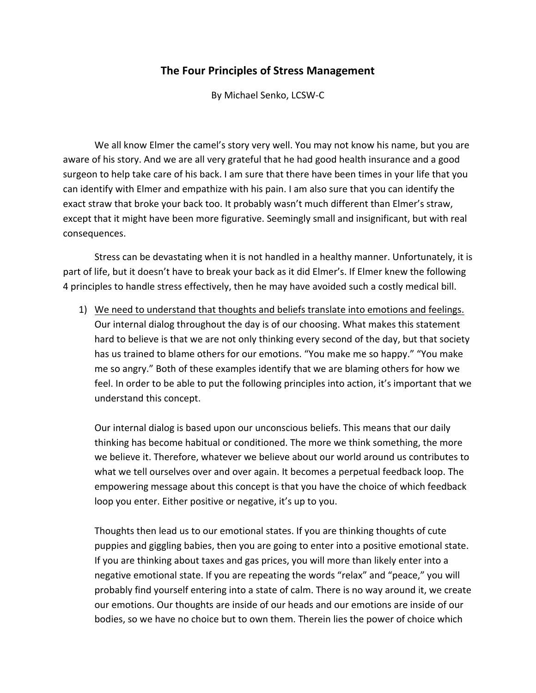## **The Four Principles of Stress Management**

By Michael Senko, LCSW‐C

We all know Elmer the camel's story very well. You may not know his name, but you are aware of his story. And we are all very grateful that he had good health insurance and a good surgeon to help take care of his back. I am sure that there have been times in your life that you can identify with Elmer and empathize with his pain. I am also sure that you can identify the exact straw that broke your back too. It probably wasn't much different than Elmer's straw, except that it might have been more figurative. Seemingly small and insignificant, but with real consequences.

Stress can be devastating when it is not handled in a healthy manner. Unfortunately, it is part of life, but it doesn't have to break your back as it did Elmer's. If Elmer knew the following 4 principles to handle stress effectively, then he may have avoided such a costly medical bill.

1) We need to understand that thoughts and beliefs translate into emotions and feelings. Our internal dialog throughout the day is of our choosing. What makes this statement hard to believe is that we are not only thinking every second of the day, but that society has us trained to blame others for our emotions. "You make me so happy." "You make me so angry." Both of these examples identify that we are blaming others for how we feel. In order to be able to put the following principles into action, it's important that we understand this concept.

Our internal dialog is based upon our unconscious beliefs. This means that our daily thinking has become habitual or conditioned. The more we think something, the more we believe it. Therefore, whatever we believe about our world around us contributes to what we tell ourselves over and over again. It becomes a perpetual feedback loop. The empowering message about this concept is that you have the choice of which feedback loop you enter. Either positive or negative, it's up to you.

Thoughts then lead us to our emotional states. If you are thinking thoughts of cute puppies and giggling babies, then you are going to enter into a positive emotional state. If you are thinking about taxes and gas prices, you will more than likely enter into a negative emotional state. If you are repeating the words "relax" and "peace," you will probably find yourself entering into a state of calm. There is no way around it, we create our emotions. Our thoughts are inside of our heads and our emotions are inside of our bodies, so we have no choice but to own them. Therein lies the power of choice which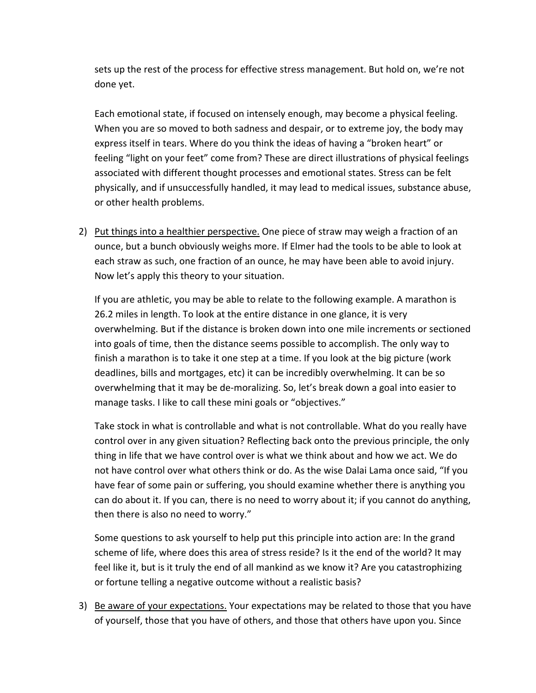sets up the rest of the process for effective stress management. But hold on, we're not done yet.

Each emotional state, if focused on intensely enough, may become a physical feeling. When you are so moved to both sadness and despair, or to extreme joy, the body may express itself in tears. Where do you think the ideas of having a "broken heart" or feeling "light on your feet" come from? These are direct illustrations of physical feelings associated with different thought processes and emotional states. Stress can be felt physically, and if unsuccessfully handled, it may lead to medical issues, substance abuse, or other health problems.

2) Put things into a healthier perspective. One piece of straw may weigh a fraction of an ounce, but a bunch obviously weighs more. If Elmer had the tools to be able to look at each straw as such, one fraction of an ounce, he may have been able to avoid injury. Now let's apply this theory to your situation.

If you are athletic, you may be able to relate to the following example. A marathon is 26.2 miles in length. To look at the entire distance in one glance, it is very overwhelming. But if the distance is broken down into one mile increments or sectioned into goals of time, then the distance seems possible to accomplish. The only way to finish a marathon is to take it one step at a time. If you look at the big picture (work deadlines, bills and mortgages, etc) it can be incredibly overwhelming. It can be so overwhelming that it may be de‐moralizing. So, let's break down a goal into easier to manage tasks. I like to call these mini goals or "objectives."

Take stock in what is controllable and what is not controllable. What do you really have control over in any given situation? Reflecting back onto the previous principle, the only thing in life that we have control over is what we think about and how we act. We do not have control over what others think or do. As the wise Dalai Lama once said, "If you have fear of some pain or suffering, you should examine whether there is anything you can do about it. If you can, there is no need to worry about it; if you cannot do anything, then there is also no need to worry."

Some questions to ask yourself to help put this principle into action are: In the grand scheme of life, where does this area of stress reside? Is it the end of the world? It may feel like it, but is it truly the end of all mankind as we know it? Are you catastrophizing or fortune telling a negative outcome without a realistic basis?

3) Be aware of your expectations. Your expectations may be related to those that you have of yourself, those that you have of others, and those that others have upon you. Since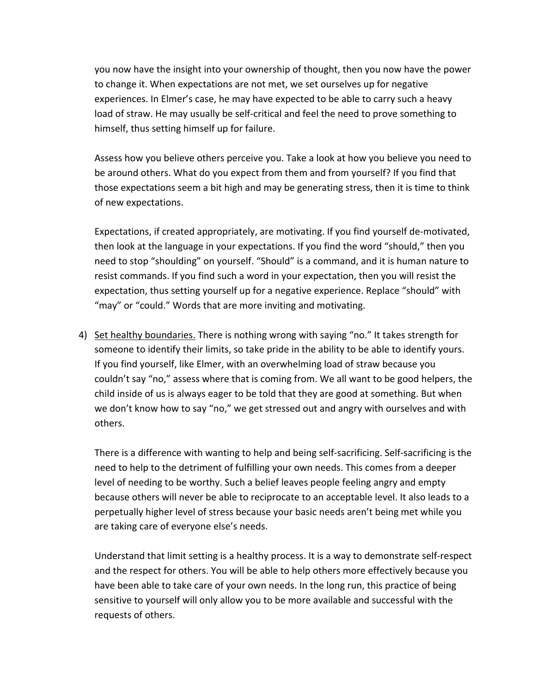you now have the insight into your ownership of thought, then you now have the power to change it. When expectations are not met, we set ourselves up for negative experiences. In Elmer's case, he may have expected to be able to carry such a heavy load of straw. He may usually be self-critical and feel the need to prove something to himself, thus setting himself up for failure.

Assess how you believe others perceive you. Take a look at how you believe you need to be around others. What do you expect from them and from yourself? If you find that those expectations seem a bit high and may be generating stress, then it is time to think of new expectations.

Expectations, if created appropriately, are motivating. If you find yourself de‐motivated, then look at the language in your expectations. If you find the word "should," then you need to stop "shoulding" on yourself. "Should" is a command, and it is human nature to resist commands. If you find such a word in your expectation, then you will resist the expectation, thus setting yourself up for a negative experience. Replace "should" with "may" or "could." Words that are more inviting and motivating.

4) Set healthy boundaries. There is nothing wrong with saying "no." It takes strength for someone to identify their limits, so take pride in the ability to be able to identify yours. If you find yourself, like Elmer, with an overwhelming load of straw because you couldn't say "no," assess where that is coming from. We all want to be good helpers, the child inside of us is always eager to be told that they are good at something. But when we don't know how to say "no," we get stressed out and angry with ourselves and with others.

There is a difference with wanting to help and being self‐sacrificing. Self‐sacrificing is the need to help to the detriment of fulfilling your own needs. This comes from a deeper level of needing to be worthy. Such a belief leaves people feeling angry and empty because others will never be able to reciprocate to an acceptable level. It also leads to a perpetually higher level of stress because your basic needs aren't being met while you are taking care of everyone else's needs.

Understand that limit setting is a healthy process. It is a way to demonstrate self‐respect and the respect for others. You will be able to help others more effectively because you have been able to take care of your own needs. In the long run, this practice of being sensitive to yourself will only allow you to be more available and successful with the requests of others.